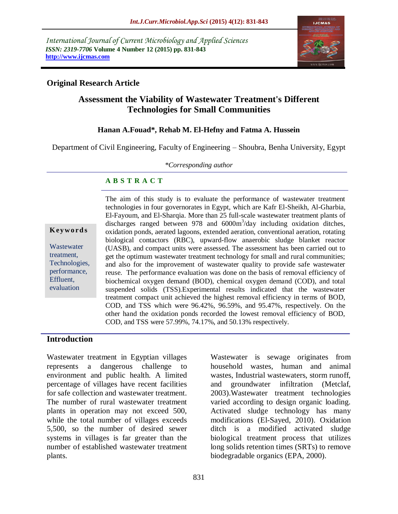*International Journal of Current Microbiology and Applied Sciences ISSN: 2319-7706* **Volume 4 Number 12 (2015) pp. 831-843 http://www.ijcmas.com** 



# **Original Research Article**

# **Assessment the Viability of Wastewater Treatment's Different Technologies for Small Communities**

## **Hanan A.Fouad\*, Rehab M. El-Hefny and Fatma A. Hussein**

Department of Civil Engineering, Faculty of Engineering – Shoubra, Benha University, Egypt

*\*Corresponding author*

#### **A B S T R A C T**

**K ey w o rd s**

Wastewater treatment, Technologies, performance, Effluent, evaluation

The aim of this study is to evaluate the performance of wastewater treatment technologies in four governorates in Egypt, which are Kafr El-Sheikh, Al-Gharbia, El-Fayoum, and El-Sharqia. More than 25 full-scale wastewater treatment plants of discharges ranged between 978 and 6000m<sup>3</sup>/day including oxidation ditches, oxidation ponds, aerated lagoons, extended aeration, conventional aeration, rotating biological contactors (RBC), upward-flow anaerobic sludge blanket reactor (UASB), and compact units were assessed. The assessment has been carried out to get the optimum wastewater treatment technology for small and rural communities; and also for the improvement of wastewater quality to provide safe wastewater reuse. The performance evaluation was done on the basis of removal efficiency of biochemical oxygen demand (BOD), chemical oxygen demand (COD), and total suspended solids (TSS).Experimental results indicated that the wastewater treatment compact unit achieved the highest removal efficiency in terms of BOD, COD, and TSS which were 96.42%, 96.59%, and 95.47%, respectively. On the other hand the oxidation ponds recorded the lowest removal efficiency of BOD, COD, and TSS were 57.99%, 74.17%, and 50.13% respectively.

#### **Introduction**

Wastewater treatment in Egyptian villages represents a dangerous challenge to environment and public health. A limited percentage of villages have recent facilities for safe collection and wastewater treatment. The number of rural wastewater treatment plants in operation may not exceed 500, while the total number of villages exceeds 5,500, so the number of desired sewer systems in villages is far greater than the number of established wastewater treatment plants.

Wastewater is sewage originates from household wastes, human and animal wastes, Industrial wastewaters, storm runoff, and groundwater infiltration (Metclaf, 2003).Wastewater treatment technologies varied according to design organic loading. Activated sludge technology has many modifications (El-Sayed, 2010). Oxidation ditch is a modified activated sludge biological treatment process that utilizes long solids retention times (SRTs) to remove biodegradable organics (EPA, 2000).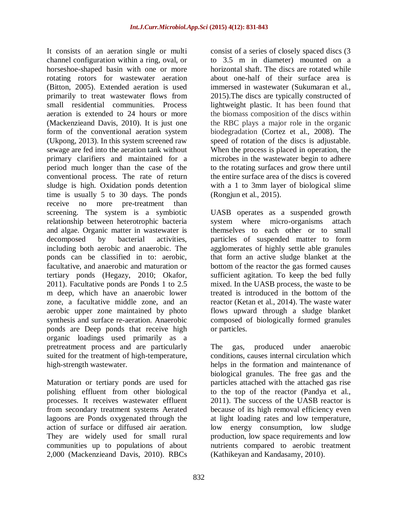It consists of an aeration single or multi channel configuration within a ring, oval, or horseshoe-shaped basin with one or more rotating rotors for wastewater aeration (Bitton, 2005). Extended aeration is used primarily to treat wastewater flows from small residential communities. Process aeration is extended to 24 hours or more (Mackenzieand Davis, 2010). It is just one form of the conventional aeration system (Ukpong, 2013). In this system screened raw sewage are fed into the aeration tank without primary clarifiers and maintained for a period much longer than the case of the conventional process. The rate of return sludge is high. Oxidation ponds detention time is usually 5 to 30 days. The ponds receive no more pre-treatment than screening. The system is a symbiotic relationship between heterotrophic bacteria and algae. Organic matter in wastewater is decomposed by bacterial activities, including both aerobic and anaerobic. The ponds can be classified in to: aerobic, facultative, and anaerobic and maturation or tertiary ponds (Hegazy, 2010; Okafor, 2011). Facultative ponds are Ponds 1 to 2.5 m deep, which have an anaerobic lower zone, a facultative middle zone, and an aerobic upper zone maintained by photo synthesis and surface re-aeration. Anaerobic ponds are Deep ponds that receive high organic loadings used primarily as a pretreatment process and are particularly suited for the treatment of high-temperature, high-strength wastewater.

Maturation or tertiary ponds are used for polishing effluent from other biological processes. It receives wastewater effluent from secondary treatment systems Aerated lagoons are Ponds oxygenated through the action of surface or diffused air aeration. They are widely used for small rural communities up to populations of about 2,000 (Mackenzieand Davis, 2010). RBCs

consist of a series of closely spaced discs (3 to 3.5 m in diameter) mounted on a horizontal shaft. The discs are rotated while about one-half of their surface area is immersed in wastewater (Sukumaran et al., 2015).The discs are typically constructed of lightweight plastic. It has been found that the biomass composition of the discs within the RBC plays a major role in the organic biodegradation (Cortez et al., 2008). The speed of rotation of the discs is adjustable. When the process is placed in operation, the microbes in the wastewater begin to adhere to the rotating surfaces and grow there until the entire surface area of the discs is covered with a 1 to 3mm layer of biological slime (Rongjun et al., 2015).

UASB operates as a suspended growth system where micro-organisms attach themselves to each other or to small particles of suspended matter to form agglomerates of highly settle able granules that form an active sludge blanket at the bottom of the reactor the gas formed causes sufficient agitation. To keep the bed fully mixed. In the UASB process, the waste to be treated is introduced in the bottom of the reactor (Ketan et al., 2014). The waste water flows upward through a sludge blanket composed of biologically formed granules or particles.

The gas, produced under anaerobic conditions, causes internal circulation which helps in the formation and maintenance of biological granules. The free gas and the particles attached with the attached gas rise to the top of the reactor (Pandya et al., 2011). The success of the UASB reactor is because of its high removal efficiency even at light loading rates and low temperature, low energy consumption, low sludge production, low space requirements and low nutrients compared to aerobic treatment (Kathikeyan and Kandasamy, 2010).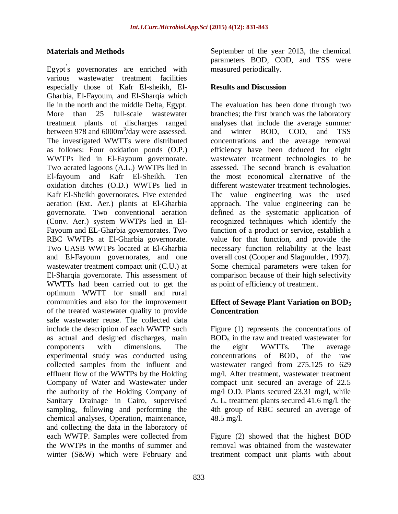# **Materials and Methods**

Egypt' s governorates are enriched with various wastewater treatment facilities especially those of Kafr El-sheikh, El-Gharbia, El-Fayoum, and El-Sharqia which lie in the north and the middle Delta, Egypt. More than 25 full-scale wastewater treatment plants of discharges ranged between  $978$  and  $6000 \text{m}^3/\text{day}$  were assessed. The investigated WWTTs were distributed as follows: Four oxidation ponds (O.P.) WWTPs lied in El-Fayoum governorate. Two aerated lagoons (A.L.) WWTPs lied in El-fayoum and Kafr El-Sheikh. Ten oxidation ditches (O.D.) WWTPs lied in Kafr El-Sheikh governorates. Five extended aeration (Ext. Aer.) plants at El-Gharbia governorate. Two conventional aeration (Conv. Aer.) system WWTPs lied in El-Fayoum and EL-Gharbia governorates. Two RBC WWTPs at El-Gharbia governorate. Two UASB WWTPs located at El-Gharbia and El-Fayoum governorates, and one wastewater treatment compact unit (C.U.) at El-Sharqia governorate. This assessment of WWTTs had been carried out to get the optimum WWTT for small and rural communities and also for the improvement of the treated wastewater quality to provide safe wastewater reuse. The collected data include the description of each WWTP such as actual and designed discharges, main components with dimensions. The experimental study was conducted using collected samples from the influent and effluent flow of the WWTPs by the Holding Company of Water and Wastewater under the authority of the Holding Company of Sanitary Drainage in Cairo, supervised sampling, following and performing the chemical analyses, Operation, maintenance, and collecting the data in the laboratory of each WWTP. Samples were collected from the WWTPs in the months of summer and winter (S&W) which were February and

September of the year 2013, the chemical parameters BOD, COD, and TSS were measured periodically.

# **Results and Discussion**

The evaluation has been done through two branches; the first branch was the laboratory analyses that include the average summer and winter BOD, COD, and TSS concentrations and the average removal efficiency have been deduced for eight wastewater treatment technologies to be assessed. The second branch is evaluation the most economical alternative of the different wastewater treatment technologies. The value engineering was the used approach. The value engineering can be defined as the systematic application of recognized techniques which identify the function of a product or service, establish a value for that function, and provide the necessary function reliability at the least overall cost (Cooper and Slagmulder, 1997). Some chemical parameters were taken for comparison because of their high selectivity as point of efficiency of treatment.

# **Effect of Sewage Plant Variation on BOD<sup>5</sup> Concentration**

Figure (1) represents the concentrations of  $BOD<sub>5</sub>$  in the raw and treated wastewater for the eight WWTTs. The average concentrations of  $BOD<sub>5</sub>$  of the raw wastewater ranged from 275.125 to 629 mg/l. After treatment, wastewater treatment compact unit secured an average of 22.5 mg/l O.D. Plants secured 23.31 mg/l, while A. L. treatment plants secured 41.6 mg/l. the 4th group of RBC secured an average of 48.5 mg/l.

Figure (2) showed that the highest BOD removal was obtained from the wastewater treatment compact unit plants with about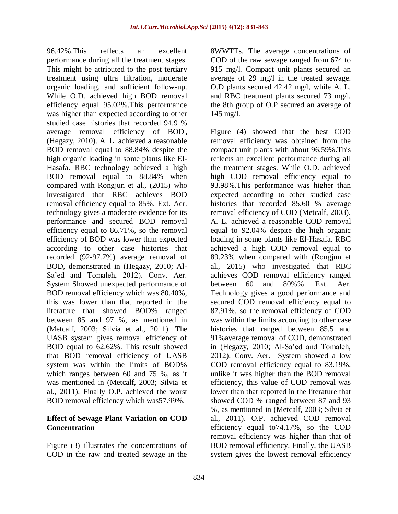96.42%.This reflects an excellent performance during all the treatment stages. This might be attributed to the post tertiary treatment using ultra filtration, moderate organic loading, and sufficient follow-up. While O.D. achieved high BOD removal efficiency equal 95.02%.This performance was higher than expected according to other studied case histories that recorded 94.9 % average removal efficiency of BOD<sub>5</sub> (Hegazy, 2010). A. L. achieved a reasonable BOD removal equal to 88.84% despite the high organic loading in some plants like El-Hasafa. RBC technology achieved a high BOD removal equal to 88.84% when compared with Rongjun et al., (2015) who investigated that RBC achieves BOD removal efficiency equal to 85%. Ext. Aer. technology gives a moderate evidence for its performance and secured BOD removal efficiency equal to 86.71%, so the removal efficiency of BOD was lower than expected according to other case histories that recorded (92-97.7%) average removal of BOD, demonstrated in (Hegazy, 2010; Al-Sa'ed and Tomaleh, 2012). Conv. Aer. System Showed unexpected performance of BOD removal efficiency which was 80.40%, this was lower than that reported in the literature that showed BOD% ranged between 85 and 97 %, as mentioned in (Metcalf, 2003; Silvia et al., 2011). The UASB system gives removal efficiency of BOD equal to 62.62%. This result showed that BOD removal efficiency of UASB system was within the limits of BOD% which ranges between 60 and 75 %, as it was mentioned in (Metcalf, 2003; Silvia et al., 2011). Finally O.P. achieved the worst BOD removal efficiency which was57.99%.

# **Effect of Sewage Plant Variation on COD Concentration**

Figure (3) illustrates the concentrations of COD in the raw and treated sewage in the

8WWTTs. The average concentrations of COD of the raw sewage ranged from 674 to 915 mg/l. Compact unit plants secured an average of 29 mg/l in the treated sewage. O.D plants secured 42.42 mg/l, while A. L. and RBC treatment plants secured 73 mg/l. the 8th group of O.P secured an average of 145 mg/l.

Figure (4) showed that the best COD removal efficiency was obtained from the compact unit plants with about 96.59%.This reflects an excellent performance during all the treatment stages. While O.D. achieved high COD removal efficiency equal to 93.98%.This performance was higher than expected according to other studied case histories that recorded 85.60 % average removal efficiency of COD (Metcalf, 2003). A. L. achieved a reasonable COD removal equal to 92.04% despite the high organic loading in some plants like El-Hasafa. RBC achieved a high COD removal equal to 89.23% when compared with (Rongjun et al., 2015) who investigated that RBC achieves COD removal efficiency ranged between 60 and 80%%. Ext. Aer. Technology gives a good performance and secured COD removal efficiency equal to 87.91%, so the removal efficiency of COD was within the limits according to other case histories that ranged between 85.5 and 91%average removal of COD, demonstrated in (Hegazy, 2010; Al-Sa'ed and Tomaleh, 2012). Conv. Aer. System showed a low COD removal efficiency equal to 83.19%, unlike it was higher than the BOD removal efficiency, this value of COD removal was lower than that reported in the literature that showed COD % ranged between 87 and 93 %, as mentioned in (Metcalf, 2003; Silvia et al., 2011). O.P. achieved COD removal efficiency equal to74.17%, so the COD removal efficiency was higher than that of BOD removal efficiency. Finally, the UASB system gives the lowest removal efficiency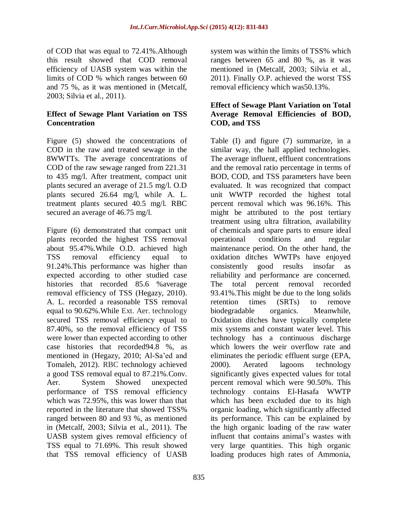of COD that was equal to 72.41%.Although this result showed that COD removal efficiency of UASB system was within the limits of COD % which ranges between 60 and 75 %, as it was mentioned in (Metcalf, 2003; Silvia et al., 2011).

# **Effect of Sewage Plant Variation on TSS Concentration**

Figure (5) showed the concentrations of COD in the raw and treated sewage in the 8WWTTs. The average concentrations of COD of the raw sewage ranged from 221.31 to 435 mg/l. After treatment, compact unit plants secured an average of 21.5 mg/l. O.D plants secured 26.64 mg/l, while A. L. treatment plants secured 40.5 mg/l. RBC secured an average of 46.75 mg/l.

Figure (6) demonstrated that compact unit plants recorded the highest TSS removal about 95.47%.While O.D. achieved high TSS removal efficiency equal to 91.24%.This performance was higher than expected according to other studied case histories that recorded 85.6 %average removal efficiency of TSS (Hegazy, 2010). A. L. recorded a reasonable TSS removal equal to 90.62%.While Ext. Aer. technology secured TSS removal efficiency equal to 87.40%, so the removal efficiency of TSS were lower than expected according to other case histories that recorded94.8 %, as mentioned in (Hegazy, 2010; Al-Sa'ed and Tomaleh, 2012). RBC technology achieved a good TSS removal equal to 87.21%.Conv. Aer. System Showed unexpected performance of TSS removal efficiency which was 72.95%, this was lower than that reported in the literature that showed TSS% ranged between 80 and 93 %, as mentioned in (Metcalf, 2003; Silvia et al., 2011). The UASB system gives removal efficiency of TSS equal to 71.69%. This result showed that TSS removal efficiency of UASB

system was within the limits of TSS% which ranges between 65 and 80 %, as it was mentioned in (Metcalf, 2003; Silvia et al., 2011). Finally O.P. achieved the worst TSS removal efficiency which was50.13%.

# **Effect of Sewage Plant Variation on Total Average Removal Efficiencies of BOD, COD, and TSS**

Table (I) and figure (7) summarize, in a similar way, the hall applied technologies. The average influent, effluent concentrations and the removal ratio percentage in terms of BOD, COD, and TSS parameters have been evaluated. It was recognized that compact unit WWTP recorded the highest total percent removal which was 96.16%. This might be attributed to the post tertiary treatment using ultra filtration, availability of chemicals and spare parts to ensure ideal operational conditions and regular maintenance period. On the other hand, the oxidation ditches WWTPs have enjoyed consistently good results insofar as reliability and performance are concerned. The total percent removal recorded 93.41%.This might be due to the long solids retention times (SRTs) to remove biodegradable organics. Meanwhile, Oxidation ditches have typically complete mix systems and constant water level. This technology has a continuous discharge which lowers the weir overflow rate and eliminates the periodic effluent surge (EPA, 2000). Aerated lagoons technology significantly gives expected values for total percent removal which were 90.50%. This technology contains El-Hasafa WWTP which has been excluded due to its high organic loading, which significantly affected its performance. This can be explained by the high organic loading of the raw water influent that contains animal's wastes with very large quantities. This high organic loading produces high rates of Ammonia,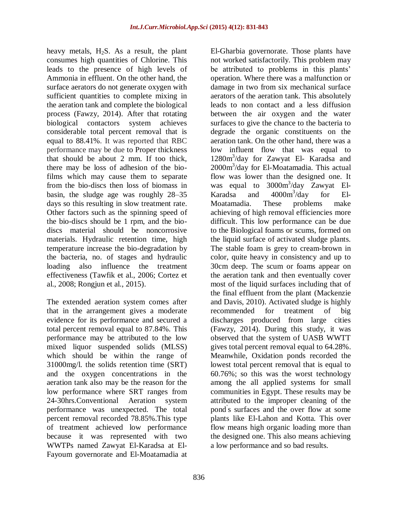heavy metals,  $H_2S$ . As a result, the plant consumes high quantities of Chlorine. This leads to the presence of high levels of Ammonia in effluent. On the other hand, the surface aerators do not generate oxygen with sufficient quantities to complete mixing in the aeration tank and complete the biological process (Fawzy, 2014). After that rotating biological contactors system achieves considerable total percent removal that is equal to 88.41%. It was reported that RBC performance may be due to Proper thickness that should be about 2 mm. If too thick, there may be loss of adhesion of the biofilms which may cause them to separate from the bio-discs then loss of biomass in basin, the sludge age was roughly 28–35 days so this resulting in slow treatment rate. Other factors such as the spinning speed of the bio-discs should be 1 rpm, and the biodiscs material should be noncorrosive materials. Hydraulic retention time, high temperature increase the bio-degradation by the bacteria, no. of stages and hydraulic loading also influence the treatment effectiveness (Tawfik et al., 2006; Cortez et al., 2008; Rongjun et al., 2015).

The extended aeration system comes after that in the arrangement gives a moderate evidence for its performance and secured a total percent removal equal to 87.84%. This performance may be attributed to the low mixed liquor suspended solids (MLSS) which should be within the range of 31000mg/l. the solids retention time (SRT) and the oxygen concentrations in the aeration tank also may be the reason for the low performance where SRT ranges from 24-30hrs.Conventional Aeration system performance was unexpected. The total percent removal recorded 78.85%.This type of treatment achieved low performance because it was represented with two WWTPs named Zawyat El-Karadsa at El-Fayoum governorate and El-Moatamadia at

El-Gharbia governorate. Those plants have not worked satisfactorily. This problem may be attributed to problems in this plants' operation. Where there was a malfunction or damage in two from six mechanical surface aerators of the aeration tank. This absolutely leads to non contact and a less diffusion between the air oxygen and the water surfaces to give the chance to the bacteria to degrade the organic constituents on the aeration tank. On the other hand, there was a low influent flow that was equal to 1280m<sup>3</sup>/day for Zawyat El- Karadsa and 2000m<sup>3</sup>/day for El-Moatamadia. This actual flow was lower than the designed one. It was equal to  $3000 \text{m}^3/\text{day}$  Zawyat El-Karadsa and 4000m<sup>3</sup> /day for El-Moatamadia. These problems make achieving of high removal efficiencies more difficult. This low performance can be due to the Biological foams or scums, formed on the liquid surface of activated sludge plants. The stable foam is grey to cream-brown in color, quite heavy in consistency and up to 30cm deep. The scum or foams appear on the aeration tank and then eventually cover most of the liquid surfaces including that of the final effluent from the plant (Mackenzie and Davis, 2010). Activated sludge is highly recommended for treatment of big discharges produced from large cities (Fawzy, 2014). During this study, it was observed that the system of UASB WWTT gives total percent removal equal to 64.28%. Meanwhile, Oxidation ponds recorded the lowest total percent removal that is equal to 60.76%; so this was the worst technology among the all applied systems for small communities in Egypt. These results may be attributed to the improper cleaning of the pond' s surfaces and the over flow at some plants like El-Lahon and Kotta. This over flow means high organic loading more than the designed one. This also means achieving a low performance and so bad results.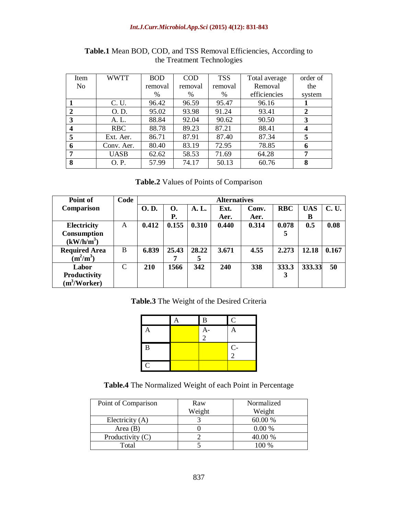#### *Int.J.Curr.Microbiol.App.Sci* **(2015) 4(12): 831-843**

| Item             | <b>WWTT</b> | <b>BOD</b> | <b>COD</b> | <b>TSS</b> | Total average | order of         |
|------------------|-------------|------------|------------|------------|---------------|------------------|
| N <sub>0</sub>   |             | removal    | removal    | removal    | Removal       | the              |
|                  |             | %          | %          | %          | efficiencies  | system           |
|                  | C. U.       | 96.42      | 96.59      | 95.47      | 96.16         |                  |
|                  | O. D.       | 95.02      | 93.98      | 91.24      | 93.41         | $\mathbf{2}$     |
| 3                | A. L.       | 88.84      | 92.04      | 90.62      | 90.50         | 3                |
| $\boldsymbol{4}$ | RBC         | 88.78      | 89.23      | 87.21      | 88.41         | $\boldsymbol{4}$ |
| 5                | Ext. Aer.   | 86.71      | 87.91      | 87.40      | 87.34         | 5                |
| 6                | Conv. Aer.  | 80.40      | 83.19      | 72.95      | 78.85         | 6                |
| 7                | <b>UASB</b> | 62.62      | 58.53      | 71.69      | 64.28         | 7                |
| 8                | O. P.       | 57.99      | 74.17      | 50.13      | 60.76         | 8                |

**Table.1** Mean BOD, COD, and TSS Removal Efficiencies, According to the Treatment Technologies

# **Table.2** Values of Points of Comparison

| Point of                 | Code |             |           |       |       |       |            |            |              |
|--------------------------|------|-------------|-----------|-------|-------|-------|------------|------------|--------------|
| Comparison               |      | <b>O.D.</b> | <b>O.</b> | A. L. | Ext.  | Conv. | <b>RBC</b> | <b>UAS</b> | <b>C. U.</b> |
|                          |      |             | Р.        |       | Aer.  | Aer.  |            | B          |              |
| Electricity              | A    | 0.412       | 0.155     | 0.310 | 0.440 | 0.314 | 0.078      | 0.5        | 0.08         |
| <b>Consumption</b>       |      |             |           |       |       |       | 5          |            |              |
| (kW/h/m <sup>3</sup> )   |      |             |           |       |       |       |            |            |              |
| <b>Required Area</b>     | B    | 6.839       | 25.43     | 28.22 | 3.671 | 4.55  | 2.273      | 12.18      | 0.167        |
| $(m^2/m^3)$              |      |             |           | 5     |       |       |            |            |              |
| Labor                    | C    | 210         | 1566      | 342   | 240   | 338   | 333.3      | 333.33     | 50           |
| Productivity             |      |             |           |       |       |       | 3          |            |              |
| (m <sup>3</sup> /Worker) |      |             |           |       |       |       |            |            |              |

**Table.3** The Weight of the Desired Criteria

|               | Α | $\bf{B}$    | $\mathbf C$   |
|---------------|---|-------------|---------------|
|               |   | $rac{A}{2}$ | A             |
|               |   |             |               |
| B             |   |             | $\frac{C}{2}$ |
|               |   |             |               |
| $\mathcal{C}$ |   |             |               |

**Table.4** The Normalized Weight of each Point in Percentage

| Point of Comparison | Raw    | Normalized |
|---------------------|--------|------------|
|                     | Weight | Weight     |
| Electricity (A)     |        | 60.00 %    |
| Area $(B)$          |        | 0.00%      |
| Productivity $(C)$  |        | 40.00 %    |
| Total               |        | 100 %      |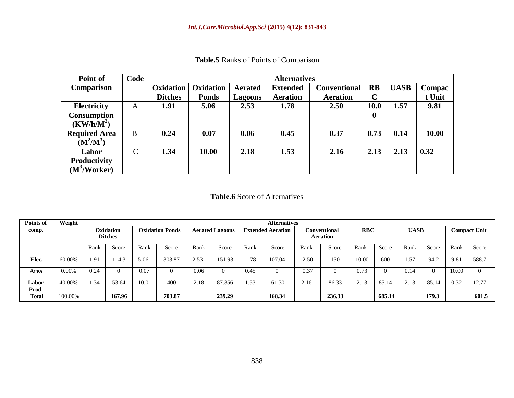| Point of                                                 | Code         |                  | <b>Alternatives</b>                |                |                                        |                 |                  |             |        |  |  |  |  |  |
|----------------------------------------------------------|--------------|------------------|------------------------------------|----------------|----------------------------------------|-----------------|------------------|-------------|--------|--|--|--|--|--|
| Comparison                                               |              | <b>Oxidation</b> | <b>Oxidation</b><br><b>Aerated</b> |                | <b>Conventional</b><br><b>Extended</b> |                 | <b>RB</b>        | <b>UASB</b> | Compac |  |  |  |  |  |
|                                                          |              | <b>Ditches</b>   | <b>Ponds</b>                       | <b>Lagoons</b> | <b>Aeration</b>                        | <b>Aeration</b> | $\mathbf C$      |             | t Unit |  |  |  |  |  |
| <b>Electricity</b>                                       | A            | 1.91             | 5.06                               | 2.53           | 1.78                                   | 2.50            | <b>10.0</b>      | 1.57        | 9.81   |  |  |  |  |  |
| <b>Consumption</b><br>$(KW/h/M^3)$                       |              |                  |                                    |                |                                        |                 | $\boldsymbol{0}$ |             |        |  |  |  |  |  |
| <b>Required Area</b><br>$(M^2/M^3)$                      | B            | 0.24             | 0.07                               | 0.06           | 0.45                                   | 0.37            | 0.73             | 0.14        | 10.00  |  |  |  |  |  |
| Labor<br><b>Productivity</b><br>(M <sup>3</sup> /Worker) | $\mathsf{C}$ | 1.34             | 10.00                              | 2.18           | 1.53                                   | 2.16            | 2.13             | 2.13        | 0.32   |  |  |  |  |  |

**Table.5** Ranks of Points of Comparison

### **Table.6** Score of Alternatives

| Points of      | Weight   |      | <b>Alternatives</b>         |                        |        |                        |        |                          |        |                                 |        |            |        |             |          |                     |          |
|----------------|----------|------|-----------------------------|------------------------|--------|------------------------|--------|--------------------------|--------|---------------------------------|--------|------------|--------|-------------|----------|---------------------|----------|
| comp.          |          |      | Oxidation<br><b>Ditches</b> | <b>Oxidation Ponds</b> |        | <b>Aerated Lagoons</b> |        | <b>Extended Aeration</b> |        | Conventional<br><b>Aeration</b> |        | <b>RBC</b> |        | <b>UASB</b> |          | <b>Compact Unit</b> |          |
|                |          | Rank | Score                       | Rank                   | Score  | Rank                   | Score  | Rank                     | Score  | Rank                            | Score  | Rank       | Score  | Rank        | Score    | Rank                | Score    |
| Elec.          | 60.00%   | .91  | 14.3                        | 5.06                   | 303.87 | 2.53                   | 151.93 | 1.78                     | 107.04 | 2.50                            | 150    | 10.00      | 600    | 1.57        | 94.2     | 9.81                | 588.7    |
| Area           | $0.00\%$ | 0.24 |                             | 0.07                   |        | 0.06                   |        | 0.45                     |        | 0.37                            |        | 0.73       |        | 0.14        | $\Omega$ | 10.00               | $\Omega$ |
| Labor<br>Prod. | 40.00%   | .34  | 53.64                       | 10.0                   | 400    | 2.18                   | 87.356 | 1.53                     | 61.30  | 2.16                            | 86.33  | 2.13       | 85.14  | 2.13        | 85.14    | 0.32                | 12.77    |
| <b>Total</b>   | 100.00%  |      | 167.96                      |                        | 703.87 |                        | 239.29 |                          | 168.34 |                                 | 236.33 |            | 685.14 |             | 179.3    |                     | 601.5    |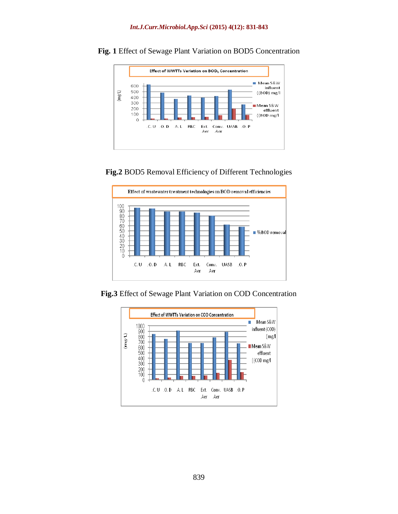

**Fig. 1** Effect of Sewage Plant Variation on BOD5 Concentration





**Fig.3** Effect of Sewage Plant Variation on COD Concentration

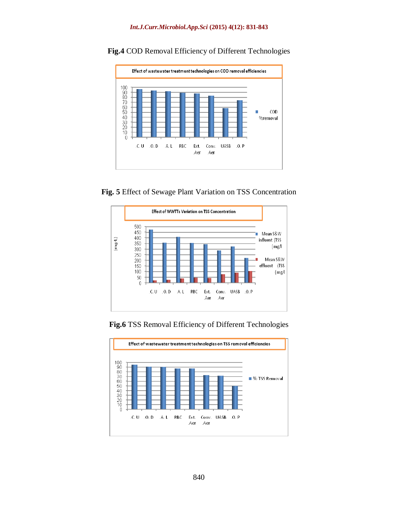

**Fig.4** COD Removal Efficiency of Different Technologies

**Fig. 5** Effect of Sewage Plant Variation on TSS Concentration



**Fig.6** TSS Removal Efficiency of Different Technologies

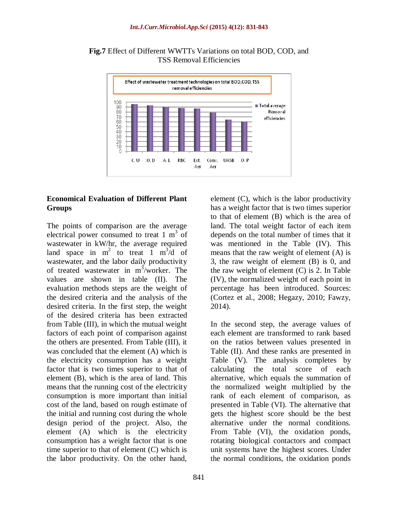

**Fig.7** Effect of Different WWTTs Variations on total BOD, COD, and TSS Removal Efficiencies

### **Economical Evaluation of Different Plant Groups**

The points of comparison are the average electrical power consumed to treat  $1 \text{ m}^3$  of wastewater in kW/hr, the average required land space in  $m^2$  to treat 1  $m^3/d$  of wastewater, and the labor daily productivity of treated wastewater in  $m^3$ /worker. The values are shown in table (II). The evaluation methods steps are the weight of the desired criteria and the analysis of the desired criteria. In the first step, the weight of the desired criteria has been extracted from Table (III), in which the mutual weight factors of each point of comparison against the others are presented. From Table (III), it was concluded that the element (A) which is the electricity consumption has a weight factor that is two times superior to that of element (B), which is the area of land. This means that the running cost of the electricity consumption is more important than initial cost of the land, based on rough estimate of the initial and running cost during the whole design period of the project. Also, the element (A) which is the electricity consumption has a weight factor that is one time superior to that of element (C) which is the labor productivity. On the other hand,

element (C), which is the labor productivity has a weight factor that is two times superior to that of element (B) which is the area of land. The total weight factor of each item depends on the total number of times that it was mentioned in the Table (IV). This means that the raw weight of element (A) is 3, the raw weight of element (B) is 0, and the raw weight of element (C) is 2. In Table (IV), the normalized weight of each point in percentage has been introduced. Sources: (Cortez et al., 2008; Hegazy, 2010; Fawzy, 2014).

In the second step, the average values of each element are transformed to rank based on the ratios between values presented in Table (II). And these ranks are presented in Table (V). The analysis completes by calculating the total score of each alternative, which equals the summation of the normalized weight multiplied by the rank of each element of comparison, as presented in Table (VI). The alternative that gets the highest score should be the best alternative under the normal conditions. From Table (VI), the oxidation ponds, rotating biological contactors and compact unit systems have the highest scores. Under the normal conditions, the oxidation ponds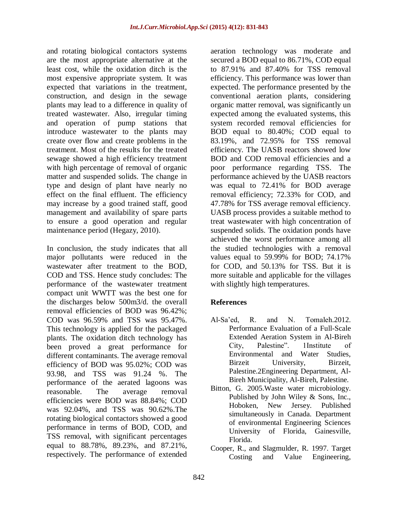and rotating biological contactors systems are the most appropriate alternative at the least cost, while the oxidation ditch is the most expensive appropriate system. It was expected that variations in the treatment, construction, and design in the sewage plants may lead to a difference in quality of treated wastewater. Also, irregular timing and operation of pump stations that introduce wastewater to the plants may create over flow and create problems in the treatment. Most of the results for the treated sewage showed a high efficiency treatment with high percentage of removal of organic matter and suspended solids. The change in type and design of plant have nearly no effect on the final effluent. The efficiency may increase by a good trained staff, good management and availability of spare parts to ensure a good operation and regular maintenance period (Hegazy, 2010).

In conclusion, the study indicates that all major pollutants were reduced in the wastewater after treatment to the BOD, COD and TSS. Hence study concludes: The performance of the wastewater treatment compact unit WWTT was the best one for the discharges below 500m3/d. the overall removal efficiencies of BOD was 96.42%; COD was 96.59% and TSS was 95.47%. This technology is applied for the packaged plants. The oxidation ditch technology has been proved a great performance for different contaminants. The average removal efficiency of BOD was 95.02%; COD was 93.98, and TSS was 91.24 %. The performance of the aerated lagoons was reasonable. The average removal efficiencies were BOD was 88.84%; COD was 92.04%, and TSS was 90.62%.The rotating biological contactors showed a good performance in terms of BOD, COD, and TSS removal, with significant percentages equal to 88.78%, 89.23%, and 87.21%, respectively. The performance of extended

aeration technology was moderate and secured a BOD equal to 86.71%, COD equal to 87.91% and 87.40% for TSS removal efficiency. This performance was lower than expected. The performance presented by the conventional aeration plants, considering organic matter removal, was significantly un expected among the evaluated systems, this system recorded removal efficiencies for BOD equal to 80.40%; COD equal to 83.19%, and 72.95% for TSS removal efficiency. The UASB reactors showed low BOD and COD removal efficiencies and a poor performance regarding TSS. The performance achieved by the UASB reactors was equal to 72.41% for BOD average removal efficiency; 72.33% for COD, and 47.78% for TSS average removal efficiency. UASB process provides a suitable method to treat wastewater with high concentration of suspended solids. The oxidation ponds have achieved the worst performance among all the studied technologies with a removal values equal to 59.99% for BOD; 74.17% for COD, and 50.13% for TSS. But it is more suitable and applicable for the villages with slightly high temperatures.

# **References**

- Al-Sa'ed, R. and N. Tomaleh.2012. Performance Evaluation of a Full-Scale Extended Aeration System in Al-Bireh City, Palestine". 1Institute of Environmental and Water Studies, Birzeit University, Birzeit, Palestine.2Engineering Department, Al-Bireh Municipality, Al-Bireh, Palestine.
- Bitton, G. 2005.Waste water microbiology. Published by John Wiley & Sons, Inc., Hoboken, New Jersey. Published simultaneously in Canada. Department of environmental Engineering Sciences University of Florida, Gainesville, Florida.
- Cooper, R., and Slagmulder, R. 1997. Target Costing and Value Engineering,